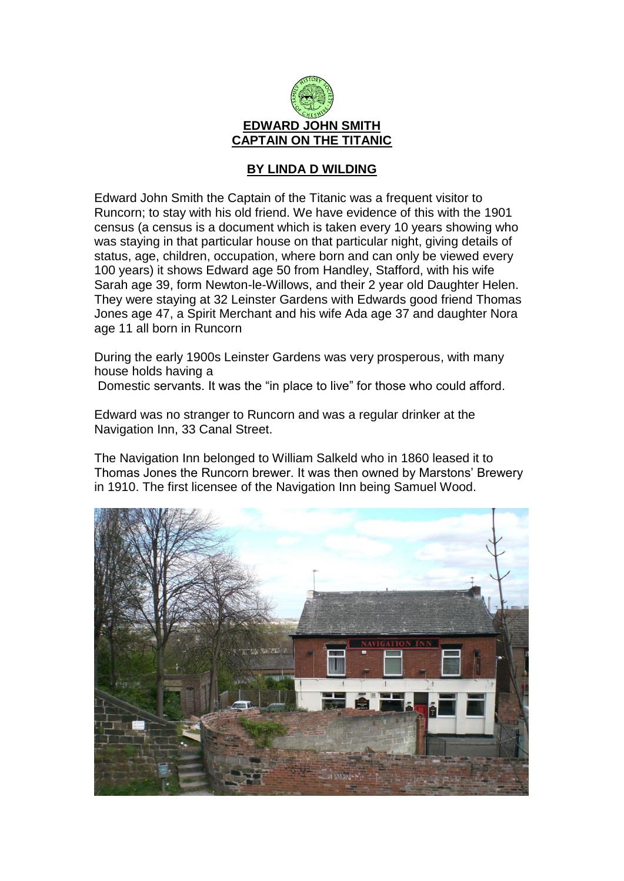

## **BY LINDA D WILDING**

Edward John Smith the Captain of the Titanic was a frequent visitor to Runcorn; to stay with his old friend. We have evidence of this with the 1901 census (a census is a document which is taken every 10 years showing who was staying in that particular house on that particular night, giving details of status, age, children, occupation, where born and can only be viewed every 100 years) it shows Edward age 50 from Handley, Stafford, with his wife Sarah age 39, form Newton-le-Willows, and their 2 year old Daughter Helen. They were staying at 32 Leinster Gardens with Edwards good friend Thomas Jones age 47, a Spirit Merchant and his wife Ada age 37 and daughter Nora age 11 all born in Runcorn

During the early 1900s Leinster Gardens was very prosperous, with many house holds having a

Domestic servants. It was the "in place to live" for those who could afford.

Edward was no stranger to Runcorn and was a regular drinker at the Navigation Inn, 33 Canal Street.

The Navigation Inn belonged to William Salkeld who in 1860 leased it to Thomas Jones the Runcorn brewer. It was then owned by Marstons' Brewery in 1910. The first licensee of the Navigation Inn being Samuel Wood.